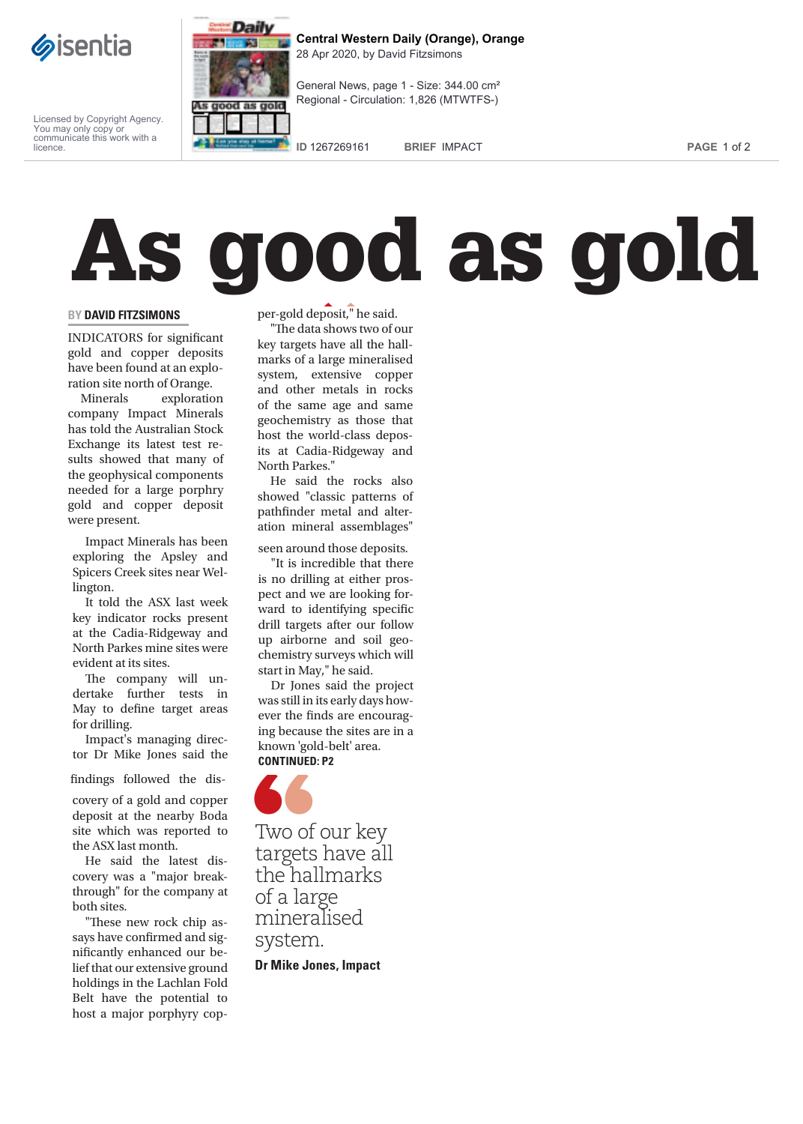

Licensed by Copyright Agency. You may only copy or communicate this work with a licence.



**Central Western Daily (Orange), Orange** 28 Apr 2020, by David Fitzsimons

General News, page 1 - Size: 344.00 cm² Regional - Circulation: 1,826 (MTWTFS-)

**ID** 1267269161 **BRIEF** IMPACT **PAGE** 1 of 2

## As good as gold

**EY DAVID FITZSIMONS**<br> **EXECUTE 10**<br> **EXECUTE 10**<br> **EXECUTE 10**<br> **EXECUTE 10**<br> **EXECUTE 10**<br> **EXECUTE 10**<br> **EXECUTE 10**<br> **EXECUTE 10**<br> **EXECUTE 10**<br> **EXECUTE 10**<br> **EXECUTE 10**<br> **EXECUTE 10**<br> **EXECUTE 10**<br> **EXECUTE 10**<br> **EX** INDICATORS for significant gold and copper deposits have been found at an exploration site north of Orange.

Minerals exploration company Impact Minerals has told the Australian Stock Exchange its latest test results showed that many of the geophysical components needed for a large porphry gold and copper deposit were present.

Impact Minerals has been exploring the Apsley and Spicers Creek sites near Wellington.

It told the ASX last week key indicator rocks present at the Cadia-Ridgeway and North Parkes mine sites were evident at its sites.

The company will undertake further tests in May to define target areas for drilling.

Impact's managing director Dr Mike Jones said the

findings followed the dis-

covery of a gold and copper deposit at the nearby Boda site which was reported to the ASX last month.

He said the latest discovery was a "major breakthrough" for the company at both sites.

"These new rock chip assays have confirmed and significantly enhanced our belief that our extensive ground holdings in the Lachlan Fold Belt have the potential to host a major porphyry copper-gold deposit," he said.

"The data shows two of our key targets have all the hallmarks of a large mineralised system, extensive copper and other metals in rocks of the same age and same geochemistry as those that host the world-class deposits at Cadia-Ridgeway and North Parkes."

He said the rocks also showed "classic patterns of pathfinder metal and alteration mineral assemblages"

seen around those deposits.

"It is incredible that there is no drilling at either prospect and we are looking forward to identifying specific drill targets after our follow up airborne and soil geochemistry surveys which will start in May," he said.

Dr Jones said the project was still in its early days however the finds are encouraging because the sites are in a known 'gold-belt' area. **CONTINUED: P2**



Two of our key targets have all the hallmarks of a large mineralised system.

**Dr Mike Jones, Impact**